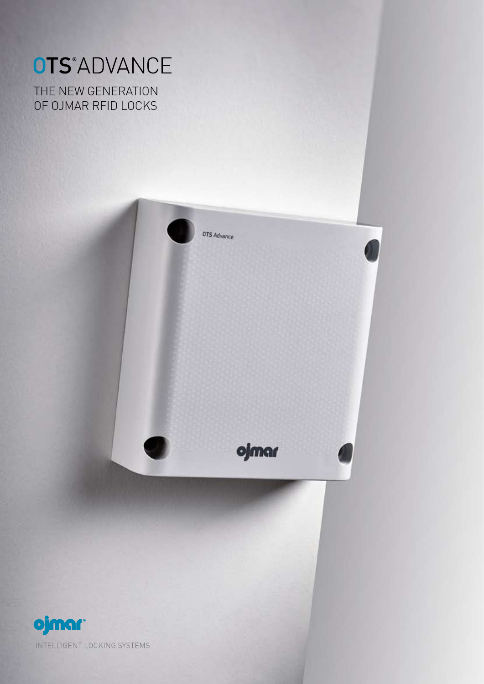# OTS<sup>\*</sup>ADVANCE

THE NEW GENERATION of Ojmar RFID locks